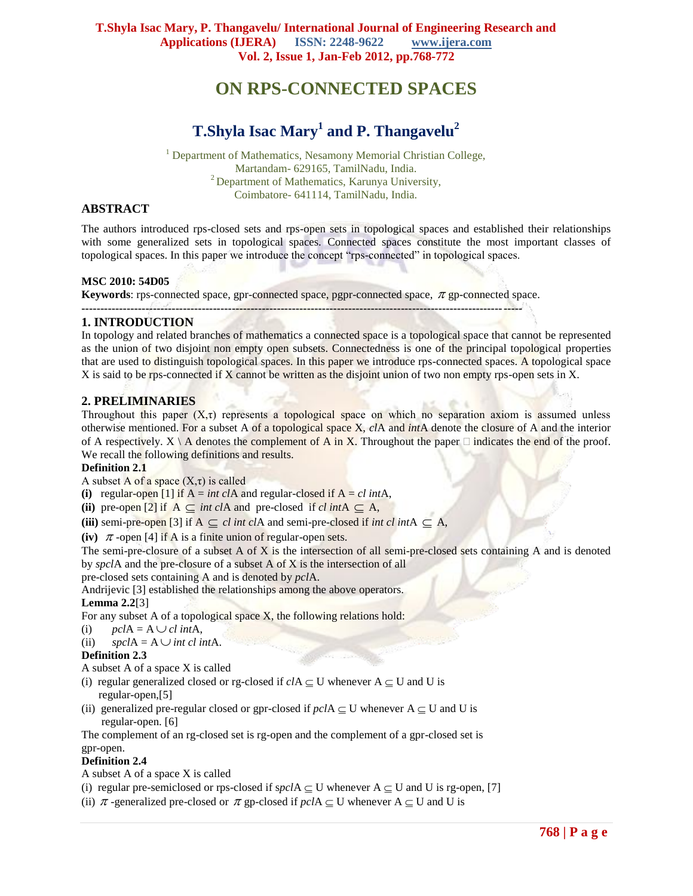# **ON RPS-CONNECTED SPACES**

## **T.Shyla Isac Mary<sup>1</sup> and P. Thangavelu<sup>2</sup>**

<sup>1</sup> Department of Mathematics, Nesamony Memorial Christian College, Martandam- 629165, TamilNadu, India. <sup>2</sup> Department of Mathematics, Karunya University, Coimbatore- 641114, TamilNadu, India.

## **ABSTRACT**

The authors introduced rps-closed sets and rps-open sets in topological spaces and established their relationships with some generalized sets in topological spaces. Connected spaces constitute the most important classes of topological spaces. In this paper we introduce the concept "rps-connected" in topological spaces.

## **MSC 2010: 54D05**

**Keywords**: rps-connected space, gpr-connected space, pgpr-connected space,  $\pi$  gp-connected space. **---------------------------------------------------------------------------------------------------------------------**

## **1. INTRODUCTION**

In topology and related branches of mathematics a connected space is a topological space that cannot be represented as the union of two disjoint non empty open subsets. Connectedness is one of the principal topological properties that are used to distinguish topological spaces. In this paper we introduce rps-connected spaces. A topological space X is said to be rps-connected if X cannot be written as the disjoint union of two non empty rps-open sets in X.

## **2. PRELIMINARIES**

Throughout this paper  $(X,\tau)$  represents a topological space on which no separation axiom is assumed unless otherwise mentioned. For a subset A of a topological space X, *cl*A and *int*A denote the closure of A and the interior of A respectively.  $X \setminus A$  denotes the complement of A in X. Throughout the paper  $\Box$  indicates the end of the proof. We recall the following definitions and results.

## **Definition 2.1**

A subset A of a space  $(X, \tau)$  is called

(i) regular-open [1] if  $A = int \, c/A$  and regular-closed if  $A = cl \, intA$ ,

(ii) pre-open [2] if  $A \subseteq int \, cIA$  and pre-closed if  $cl \, intA \subseteq A$ ,

(iii) semi-pre-open [3] if  $A \subseteq cl$  *int clA* and semi-pre-closed if *int cl intA*  $\subseteq A$ ,

**(iv)**  $\pi$ -open [4] if A is a finite union of regular-open sets.

The semi-pre-closure of a subset A of X is the intersection of all semi-pre-closed sets containing A and is denoted by *spcl*A and the pre-closure of a subset A of X is the intersection of all

pre-closed sets containing A and is denoted by *pcl*A.

Andrijevic [3] established the relationships among the above operators.

## **Lemma 2.2**[3]

- For any subset A of a topological space  $X$ , the following relations hold:
- (i)  $\overrightarrow{pclA} = A \cup \overrightarrow{cl} \overrightarrow{intA}$ ,
- (ii)  $spclA = A \cup intclintA$ .

## **Definition 2.3**

A subset A of a space X is called

- (i) regular generalized closed or rg-closed if  $clA \subseteq U$  whenever  $A \subseteq U$  and U is regular-open,[5]
- (ii) generalized pre-regular closed or gpr-closed if  $pclA \subseteq U$  whenever  $A \subseteq U$  and U is regular-open. [6]

The complement of an rg-closed set is rg-open and the complement of a gpr-closed set is gpr-open.

## **Definition 2.4**

A subset A of a space X is called

- (i) regular pre-semiclosed or rps-closed if  $spclA \subset U$  whenever  $A \subset U$  and U is rg-open, [7]
- (ii)  $\pi$ -generalized pre-closed or  $\pi$  gp-closed if  $pclA \subseteq U$  whenever  $A \subseteq U$  and U is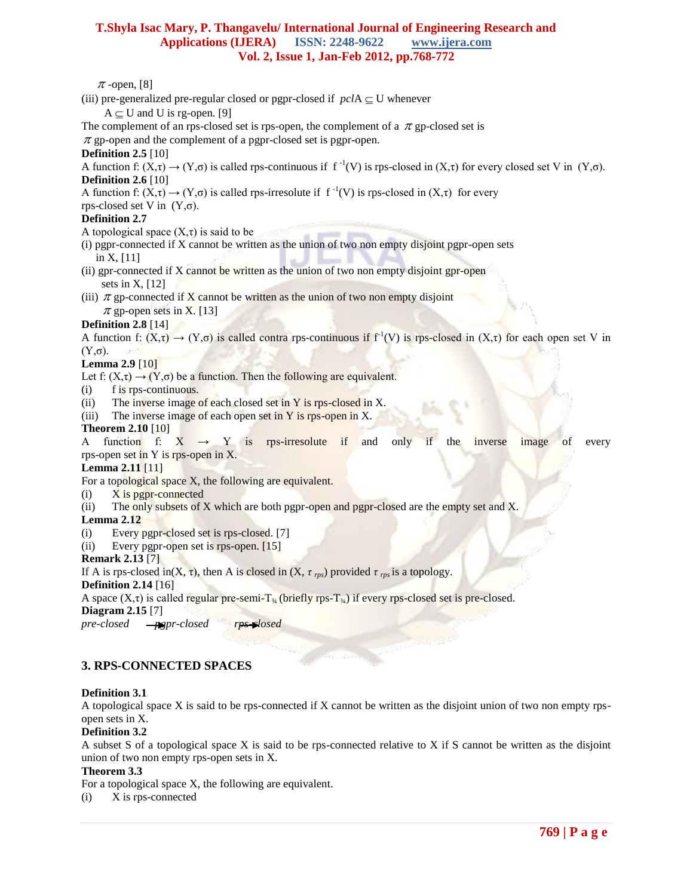$\pi$ -open, [8]

- (iii) pre-generalized pre-regular closed or pgpr-closed if  $pclA \subseteq U$  whenever
	- $A \subseteq U$  and U is rg-open. [9]
- The complement of an rps-closed set is rps-open, the complement of a  $\pi$  gp-closed set is

 $\pi$  gp-open and the complement of a pgpr-closed set is pgpr-open.

**Definition 2.5** [10]

A function f:  $(X,\tau) \to (Y,\sigma)$  is called rps-continuous if  $f^{-1}(V)$  is rps-closed in  $(X,\tau)$  for every closed set V in  $(Y,\sigma)$ .

## **Definition 2.6** [10]

A function f:  $(X,\tau) \to (Y,\sigma)$  is called rps-irresolute if  $f^{-1}(V)$  is rps-closed in  $(X,\tau)$  for every

rps-closed set V in  $(Y,\sigma)$ .

## **Definition 2.7**

A topological space  $(X, \tau)$  is said to be

- (i) pgpr-connected if X cannot be written as the union of two non empty disjoint pgpr-open sets in X, [11]
- (ii) gpr-connected if X cannot be written as the union of two non empty disjoint gpr-open sets in  $X$ , [12]
- (iii)  $\pi$  gp-connected if X cannot be written as the union of two non empty disjoint  $\pi$  gp-open sets in X. [13]

## **Definition 2.8** [14]

A function f:  $(X,\tau) \to (Y,\sigma)$  is called contra rps-continuous if  $f^{-1}(V)$  is rps-closed in  $(X,\tau)$  for each open set V in (Y,σ).

#### **Lemma 2.9** [10]

Let f:  $(X,\tau) \rightarrow (Y,\sigma)$  be a function. Then the following are equivalent.

(i) f is rps-continuous.

(ii) The inverse image of each closed set in Y is rps-closed in X.

(iii) The inverse image of each open set in  $Y$  is rps-open in X.

#### **Theorem 2.10** [10]

A function f:  $X \rightarrow Y$  is rps-irresolute if and only if the inverse image of every rps-open set in Y is rps-open in X.

#### **Lemma 2.11** [11]

For a topological space X, the following are equivalent.

- $(i)$  X is pgpr-connected
- (ii) The only subsets of X which are both pgpr-open and pgpr-closed are the empty set and X.

## **Lemma 2.12**

- (i) Every pgpr-closed set is rps-closed. [7]
- (ii) Every pgpr-open set is rps-open. [15]

## **Remark 2.13** [7]

If A is rps-closed in(X,  $\tau$ ), then A is closed in (X,  $\tau$ <sub>rps</sub>) provided  $\tau$ <sub>rps</sub> is a topology.

#### **Definition 2.14** [16]

A space  $(X,\tau)$  is called regular pre-semi-T<sub>34</sub> (briefly rps-T<sub>34</sub>) if every rps-closed set is pre-closed.

**Diagram 2.15** [7]

*pre-closed <del>gpp</del>pr-closed rps-plosed</del>* 

## **3. RPS-CONNECTED SPACES**

## **Definition 3.1**

A topological space X is said to be rps-connected if X cannot be written as the disjoint union of two non empty rpsopen sets in X.

## **Definition 3.2**

A subset S of a topological space X is said to be rps-connected relative to X if S cannot be written as the disjoint union of two non empty rps-open sets in X.

## **Theorem 3.3**

For a topological space X, the following are equivalent.

(i) X is rps-connected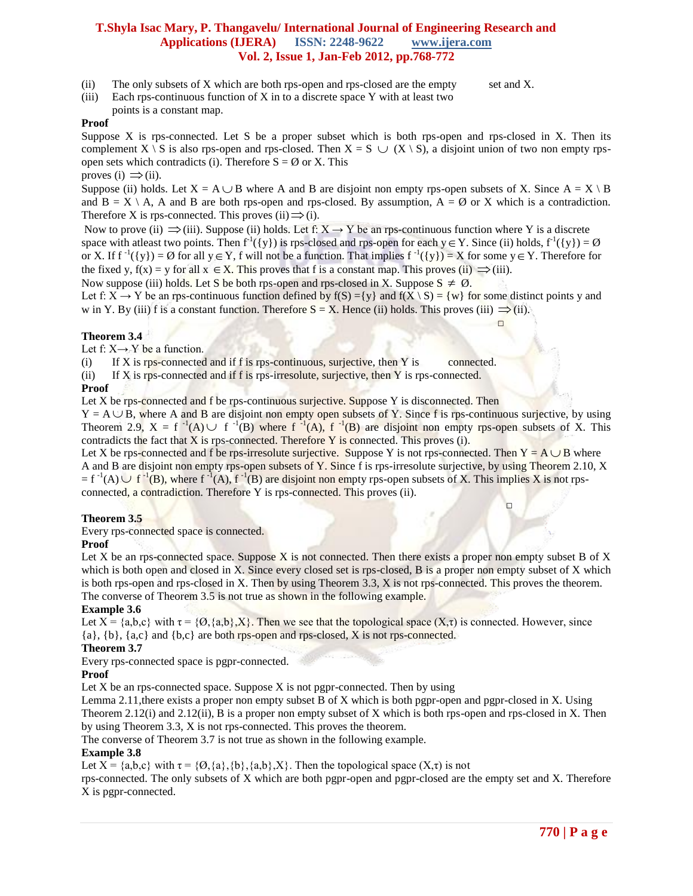(ii) The only subsets of  $X$  which are both rps-open and rps-closed are the empty set and  $X$ .

(iii) Each rps-continuous function of  $X$  in to a discrete space  $Y$  with at least two

points is a constant map.

## **Proof**

Suppose X is rps-connected. Let S be a proper subset which is both rps-open and rps-closed in X. Then its complement X \ S is also rps-open and rps-closed. Then  $X = S \cup (X \setminus S)$ , a disjoint union of two non empty rpsopen sets which contradicts (i). Therefore  $S = \emptyset$  or X. This proves (i)  $\Rightarrow$  (ii).

Suppose (ii) holds. Let  $X = A \cup B$  where A and B are disjoint non empty rps-open subsets of X. Since  $A = X \setminus B$ and  $B = X \setminus A$ , A and B are both rps-open and rps-closed. By assumption,  $A = \emptyset$  or X which is a contradiction. Therefore X is rps-connected. This proves (ii)  $\Rightarrow$  (i).

Now to prove (ii)  $\Rightarrow$  (iii). Suppose (ii) holds. Let f: X  $\rightarrow$  Y be an rps-continuous function where Y is a discrete space with atleast two points. Then  $f^1({y})$  is rps-closed and rps-open for each  $y \in Y$ . Since (ii) holds,  $f^1({y}) = \emptyset$ or X. If  $f^{-1}(\{y\}) = \emptyset$  for all  $y \in Y$ , f will not be a function. That implies  $f^{-1}(\{y\}) = X$  for some  $y \in Y$ . Therefore for the fixed y,  $f(x) = y$  for all  $x \in X$ . This proves that f is a constant map. This proves (ii)  $\implies$  (iii).

Now suppose (iii) holds. Let S be both rps-open and rps-closed in X. Suppose  $S \neq \emptyset$ .

Let f:  $X \rightarrow Y$  be an rps-continuous function defined by  $f(S) = \{y\}$  and  $f(X \setminus S) = \{w\}$  for some distinct points y and w in Y. By (iii) f is a constant function. Therefore  $S = X$ . Hence (ii) holds. This proves (iii)  $\Rightarrow$  (ii).

#### **Theorem 3.4**

Let f:  $X \rightarrow Y$  be a function.

 $(i)$  If X is rps-connected and if f is rps-continuous, surjective, then Y is connected.

□

(ii) If X is rps-connected and if f is rps-irresolute, surjective, then Y is rps-connected.

#### **Proof**

Let X be rps-connected and f be rps-continuous surjective. Suppose Y is disconnected. Then

□

 $Y = A \cup \overline{B}$ , where A and B are disjoint non empty open subsets of Y. Since f is rps-continuous surjective, by using Theorem 2.9,  $X = f^{-1}(A) \cup f^{-1}(B)$  where  $f^{-1}(A)$ ,  $f^{-1}(B)$  are disjoint non empty rps-open subsets of X. This contradicts the fact that X is rps-connected. Therefore  $Y$  is connected. This proves (i).

Let X be rps-connected and f be rps-irresolute surjective. Suppose Y is not rps-connected. Then  $Y = A \cup B$  where A and B are disjoint non empty rps-open subsets of Y. Since f is rps-irresolute surjective, by using Theorem 2.10, X  $f^{-1}(A) \cup f^{-1}(B)$ , where  $f^{-1}(A)$ ,  $f^{-1}(B)$  are disjoint non empty rps-open subsets of X. This implies X is not rpsconnected, a contradiction. Therefore Y is rps-connected. This proves (ii).

#### **Theorem 3.5**

Every rps-connected space is connected.

#### **Proof**

Let X be an rps-connected space. Suppose X is not connected. Then there exists a proper non empty subset B of X which is both open and closed in X. Since every closed set is rps-closed, B is a proper non empty subset of X which is both rps-open and rps-closed in X. Then by using Theorem 3.3, X is not rps-connected. This proves the theorem. The converse of Theorem 3.5 is not true as shown in the following example.

## **Example 3.6**

Let  $X = \{a,b,c\}$  with  $\tau = \{0,\{a,b\},X\}$ . Then we see that the topological space  $(X,\tau)$  is connected. However, since {a}, {b}, {a,c} and {b,c} are both rps-open and rps-closed, X is not rps-connected.

## **Theorem 3.7**

Every rps-connected space is pgpr-connected.

## **Proof**

Let  $X$  be an rps-connected space. Suppose  $X$  is not pgpr-connected. Then by using

Lemma 2.11, there exists a proper non empty subset B of X which is both pgpr-open and pgpr-closed in X. Using Theorem 2.12(i) and 2.12(ii), B is a proper non empty subset of X which is both rps-open and rps-closed in X. Then by using Theorem 3.3, X is not rps-connected. This proves the theorem.

The converse of Theorem 3.7 is not true as shown in the following example.

## **Example 3.8**

Let  $X = \{a,b,c\}$  with  $\tau = \{0,\{a\},\{b\},\{a,b\},X\}$ . Then the topological space  $(X,\tau)$  is not

rps-connected. The only subsets of X which are both pgpr-open and pgpr-closed are the empty set and X. Therefore X is pgpr-connected.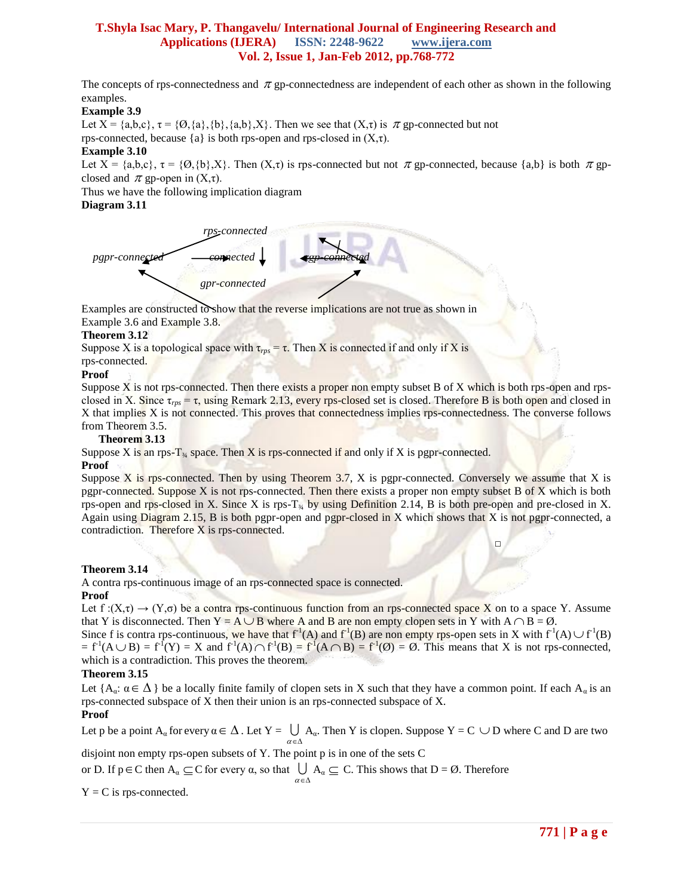The concepts of rps-connectedness and  $\pi$  gp-connectedness are independent of each other as shown in the following examples.

## **Example 3.9**

Let  $X = \{a,b,c\}, \tau = \{0\}, \{a\}, \{b\}, \{a,b\}, X\}$ . Then we see that  $(X,\tau)$  is  $\pi$  gp-connected but not rps-connected, because  $\{a\}$  is both rps-open and rps-closed in  $(X,\tau)$ .

## **Example 3.10**

Let  $X = \{a,b,c\}$ ,  $\tau = \{0\}$ ,  $\{b\}$ ,  $X\}$ . Then  $(X,\tau)$  is rps-connected but not  $\pi$  gp-connected, because  $\{a,b\}$  is both  $\pi$  gpclosed and  $\pi$  gp-open in  $(X,\tau)$ .

Thus we have the following implication diagram

#### **Diagram 3.11**



Examples are constructed to show that the reverse implications are not true as shown in Example 3.6 and Example 3.8.

#### **Theorem 3.12**

Suppose X is a topological space with  $\tau_{\text{rps}} = \tau$ . Then X is connected if and only if X is rps-connected.

#### **Proof**

Suppose X is not rps-connected. Then there exists a proper non empty subset B of X which is both rps-open and rpsclosed in X. Since  $\tau_{\text{p}s} = \tau$ , using Remark 2.13, every rps-closed set is closed. Therefore B is both open and closed in X that implies X is not connected. This proves that connectedness implies rps-connectedness. The converse follows from Theorem 3.5.

#### **Theorem 3.13**

Suppose X is an rps-T<sub>34</sub> space. Then X is rps-connected if and only if X is pgpr-connected.

□

#### **Proof**

Suppose X is rps-connected. Then by using Theorem  $3.7$ , X is pgpr-connected. Conversely we assume that X is pgpr-connected. Suppose X is not rps-connected. Then there exists a proper non empty subset B of X which is both rps-open and rps-closed in X. Since X is rps- $T_{\frac{3}{4}}$  by using Definition 2.14, B is both pre-open and pre-closed in X. Again using Diagram 2.15, B is both pgpr-open and pgpr-closed in X which shows that X is not pgpr-connected, a contradiction. Therefore X is rps-connected.

## **Theorem 3.14**

A contra rps-continuous image of an rps-connected space is connected.

#### **Proof**

Let  $f:(X,\tau) \to (Y,\sigma)$  be a contra rps-continuous function from an rps-connected space X on to a space Y. Assume that Y is disconnected. Then  $Y = A \cup B$  where A and B are non empty clopen sets in Y with  $A \cap B = \emptyset$ .

Since f is contra rps-continuous, we have that  $f'(A)$  and  $f'(B)$  are non empty rps-open sets in X with  $f'(A) \cup f'(B)$  $= f<sup>1</sup>(A \cup B) = f<sup>1</sup>(Y) = X$  and  $f<sup>1</sup>(A) \cap f<sup>1</sup>(B) = f<sup>1</sup>(A \cap B) = f<sup>1</sup>(Ø) = Ø$ . This means that X is not rps-connected, which is a contradiction. This proves the theorem.

## **Theorem 3.15**

Let  ${A_\alpha: \alpha \in \Delta}$  be a locally finite family of clopen sets in X such that they have a common point. If each  $A_\alpha$  is an rps-connected subspace of X then their union is an rps-connected subspace of X.

## **Proof**

Let p be a point  $A_\alpha$  for every  $\alpha \in \Delta$ . Let  $Y = \bigcup A_\alpha$ . Then Y is clopen. Suppose  $Y = C \cup D$  where C and D are two  $\alpha \in \Delta$ 

disjoint non empty rps-open subsets of Y. The point p is in one of the sets C

or D. If  $p \in C$  then  $A_\alpha \subseteq C$  for every  $\alpha$ , so that  $\bigcup A_\alpha \subseteq C$ . This shows that  $D = \emptyset$ . Therefore  $\alpha\!\in\!\Delta$ 

 $Y = C$  is rps-connected.